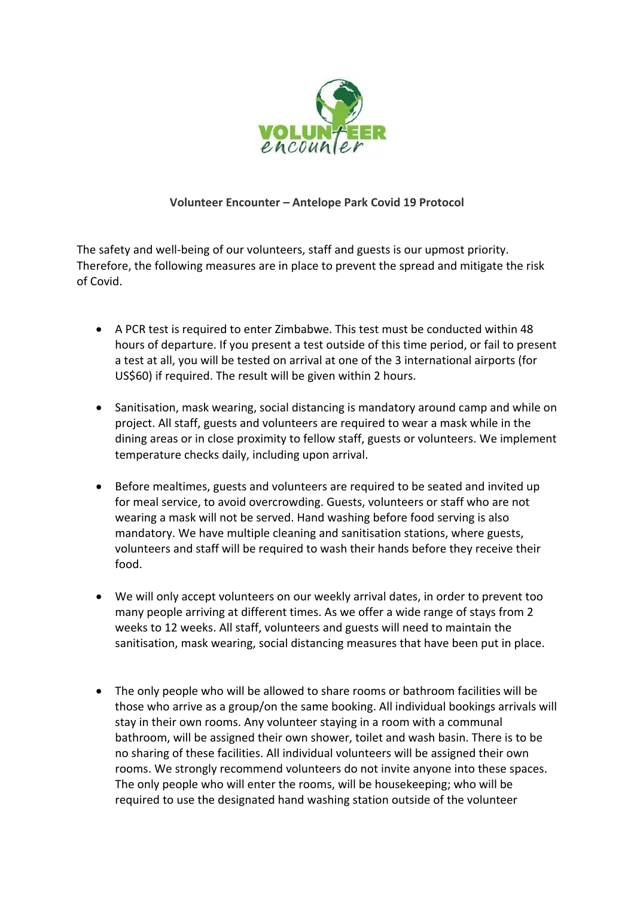

## **Volunteer Encounter – Antelope Park Covid 19 Protocol**

The safety and well-being of our volunteers, staff and guests is our upmost priority. Therefore, the following measures are in place to prevent the spread and mitigate the risk of Covid.

- A PCR test is required to enter Zimbabwe. This test must be conducted within 48 hours of departure. If you present a test outside of this time period, or fail to present a test at all, you will be tested on arrival at one of the 3 international airports (for US\$60) if required. The result will be given within 2 hours.
- Sanitisation, mask wearing, social distancing is mandatory around camp and while on project. All staff, guests and volunteers are required to wear a mask while in the dining areas or in close proximity to fellow staff, guests or volunteers. We implement temperature checks daily, including upon arrival.
- Before mealtimes, guests and volunteers are required to be seated and invited up for meal service, to avoid overcrowding. Guests, volunteers or staff who are not wearing a mask will not be served. Hand washing before food serving is also mandatory. We have multiple cleaning and sanitisation stations, where guests, volunteers and staff will be required to wash their hands before they receive their food.
- We will only accept volunteers on our weekly arrival dates, in order to prevent too many people arriving at different times. As we offer a wide range of stays from 2 weeks to 12 weeks. All staff, volunteers and guests will need to maintain the sanitisation, mask wearing, social distancing measures that have been put in place.
- The only people who will be allowed to share rooms or bathroom facilities will be those who arrive as a group/on the same booking. All individual bookings arrivals will stay in their own rooms. Any volunteer staying in a room with a communal bathroom, will be assigned their own shower, toilet and wash basin. There is to be no sharing of these facilities. All individual volunteers will be assigned their own rooms. We strongly recommend volunteers do not invite anyone into these spaces. The only people who will enter the rooms, will be housekeeping; who will be required to use the designated hand washing station outside of the volunteer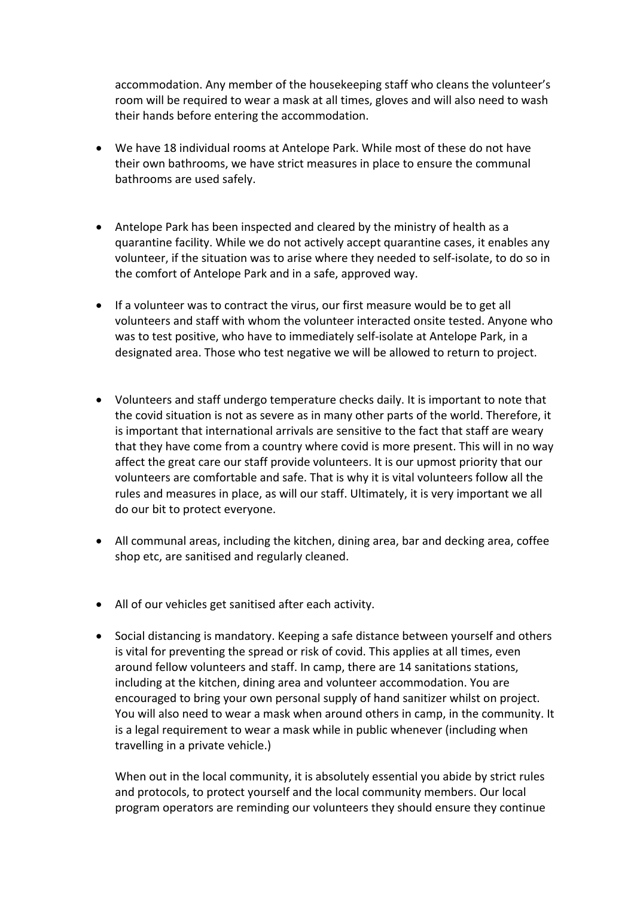accommodation. Any member of the housekeeping staff who cleans the volunteer's room will be required to wear a mask at all times, gloves and will also need to wash their hands before entering the accommodation.

- We have 18 individual rooms at Antelope Park. While most of these do not have their own bathrooms, we have strict measures in place to ensure the communal bathrooms are used safely.
- Antelope Park has been inspected and cleared by the ministry of health as a quarantine facility. While we do not actively accept quarantine cases, it enables any volunteer, if the situation was to arise where they needed to self-isolate, to do so in the comfort of Antelope Park and in a safe, approved way.
- If a volunteer was to contract the virus, our first measure would be to get all volunteers and staff with whom the volunteer interacted onsite tested. Anyone who was to test positive, who have to immediately self-isolate at Antelope Park, in a designated area. Those who test negative we will be allowed to return to project.
- Volunteers and staff undergo temperature checks daily. It is important to note that the covid situation is not as severe as in many other parts of the world. Therefore, it is important that international arrivals are sensitive to the fact that staff are weary that they have come from a country where covid is more present. This will in no way affect the great care our staff provide volunteers. It is our upmost priority that our volunteers are comfortable and safe. That is why it is vital volunteers follow all the rules and measures in place, as will our staff. Ultimately, it is very important we all do our bit to protect everyone.
- All communal areas, including the kitchen, dining area, bar and decking area, coffee shop etc, are sanitised and regularly cleaned.
- All of our vehicles get sanitised after each activity.
- Social distancing is mandatory. Keeping a safe distance between yourself and others is vital for preventing the spread or risk of covid. This applies at all times, even around fellow volunteers and staff. In camp, there are 14 sanitations stations, including at the kitchen, dining area and volunteer accommodation. You are encouraged to bring your own personal supply of hand sanitizer whilst on project. You will also need to wear a mask when around others in camp, in the community. It is a legal requirement to wear a mask while in public whenever (including when travelling in a private vehicle.)

When out in the local community, it is absolutely essential you abide by strict rules and protocols, to protect yourself and the local community members. Our local program operators are reminding our volunteers they should ensure they continue